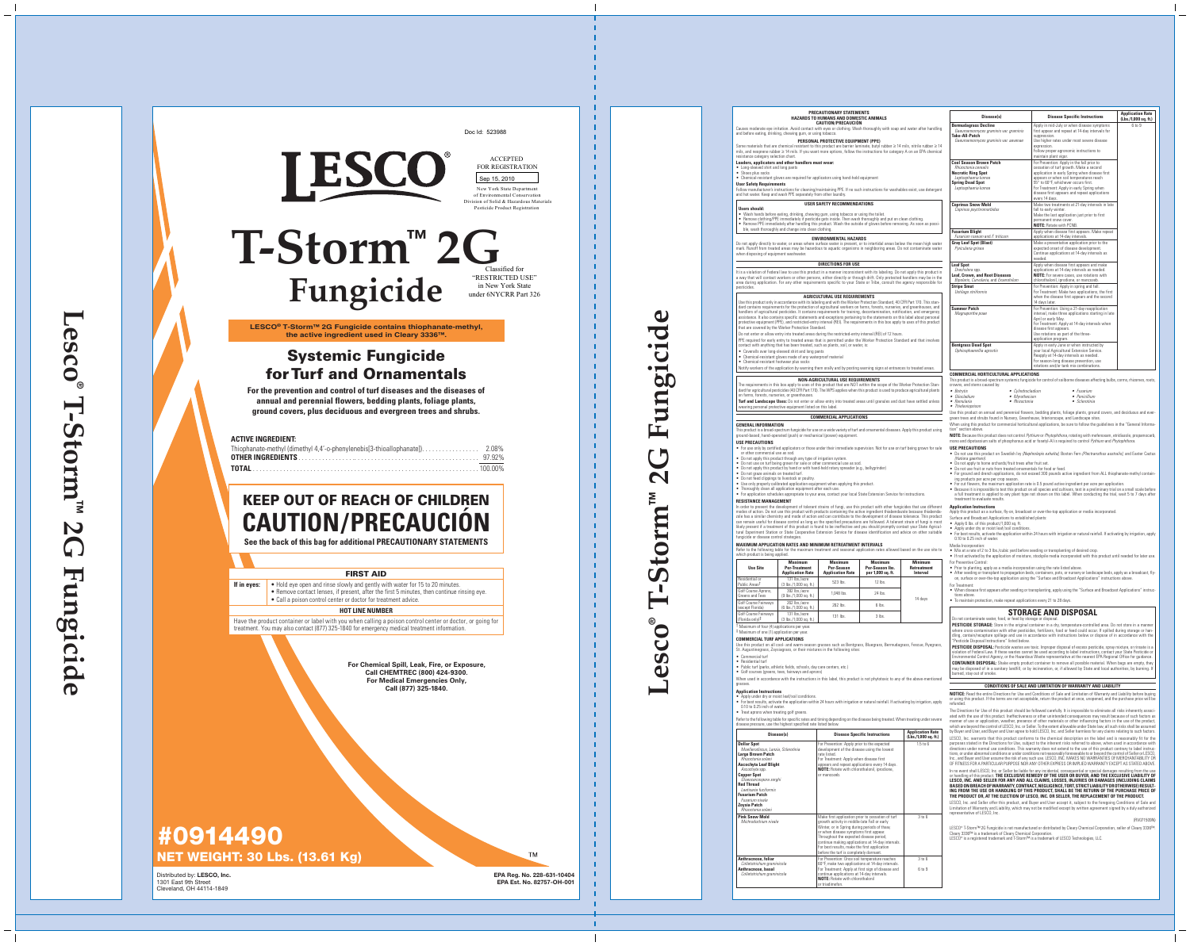



# **KEEP OUT OF REACH OF CHILDREN CAUTION/PRECAUCIÓN**

**See the back of this bag for additional PRECAUTIONARY STATEMENTS**

## **FIRST AID**

**If in eyes:**  $\bullet$  Hold eye open and rinse slowly and gently with water for 15 to 20 minutes.

- Remove contact lenses, if present, after the first 5 minutes, then continue rinsing eye.
- Call a poison control center or doctor for treatment advice.

## **HOT LINE NUMBER**

Have the product container or label with you when calling a poison control center or doctor, or going for treatment. You may also contact (877) 325-1840 for emergency medical treatment information.

## **Systemic Fungicide for Turf and Ornamentals**

**For the prevention and control of turf diseases and the diseases of annual and perennial flowers, bedding plants, foliage plants, ground covers, plus deciduous and evergreen trees and shrubs.**

### **ACTIVE INGREDIENT:**

# **#0914490 NET WEIGHT: 30 Lbs. (13.61 Kg)**

**For Chemical Spill, Leak, Fire, or Exposure, Call CHEMTREC (800) 424-9300. For Medical Emergencies Only, Call (877) 325-1840.**

**LESCO® T-Storm™ 2G Fungicide contains thiophanate-methyl, the active ingredient used in Cleary 3336™.**

## **T-Storm™ 2G Fungicide** Classified for "RESTRICTED USE" in New York State under 6NYCRR Part 326

Sep 15, 2010



### ACCEPTED FOR REGISTRATION

New York State Department of Environmental Conservation Division of Solid & Hazardous Materials Pesticide Product Registration